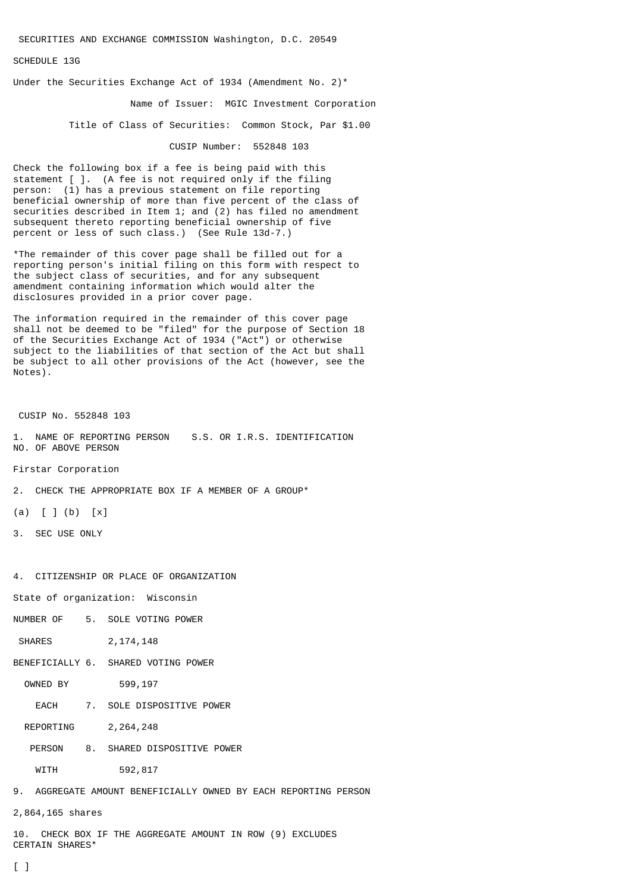SECURITIES AND EXCHANGE COMMISSION Washington, D.C. 20549

SCHEDULE 13G

Under the Securities Exchange Act of 1934 (Amendment No. 2)\*

Name of Issuer: MGIC Investment Corporation

Title of Class of Securities: Common Stock, Par \$1.00

CUSIP Number: 552848 103

Check the following box if a fee is being paid with this statement [ ]. (A fee is not required only if the filing person: (1) has a previous statement on file reporting beneficial ownership of more than five percent of the class of securities described in Item 1; and (2) has filed no amendment subsequent thereto reporting beneficial ownership of five percent or less of such class.) (See Rule 13d-7.)

\*The remainder of this cover page shall be filled out for a reporting person's initial filing on this form with respect to the subject class of securities, and for any subsequent amendment containing information which would alter the disclosures provided in a prior cover page.

The information required in the remainder of this cover page shall not be deemed to be "filed" for the purpose of Section 18 of the Securities Exchange Act of 1934 ("Act") or otherwise subject to the liabilities of that section of the Act but shall be subject to all other provisions of the Act (however, see the Notes).

CUSIP No. 552848 103

1. NAME OF REPORTING PERSON S.S. OR I.R.S. IDENTIFICATION NO. OF ABOVE PERSON

Firstar Corporation

2. CHECK THE APPROPRIATE BOX IF A MEMBER OF A GROUP\*

 $(a) [ ] (b) [x]$ 

3. SEC USE ONLY

4. CITIZENSHIP OR PLACE OF ORGANIZATION

State of organization: Wisconsin

NUMBER OF 5. SOLE VOTING POWER

SHARES 2, 174, 148

BENEFICIALLY 6. SHARED VOTING POWER

OWNED BY 599,197

EACH 7. SOLE DISPOSITIVE POWER

REPORTING 2,264,248

PERSON 8. SHARED DISPOSITIVE POWER

WITH 592,817

9. AGGREGATE AMOUNT BENEFICIALLY OWNED BY EACH REPORTING PERSON

2,864,165 shares

10. CHECK BOX IF THE AGGREGATE AMOUNT IN ROW (9) EXCLUDES CERTAIN SHARES\*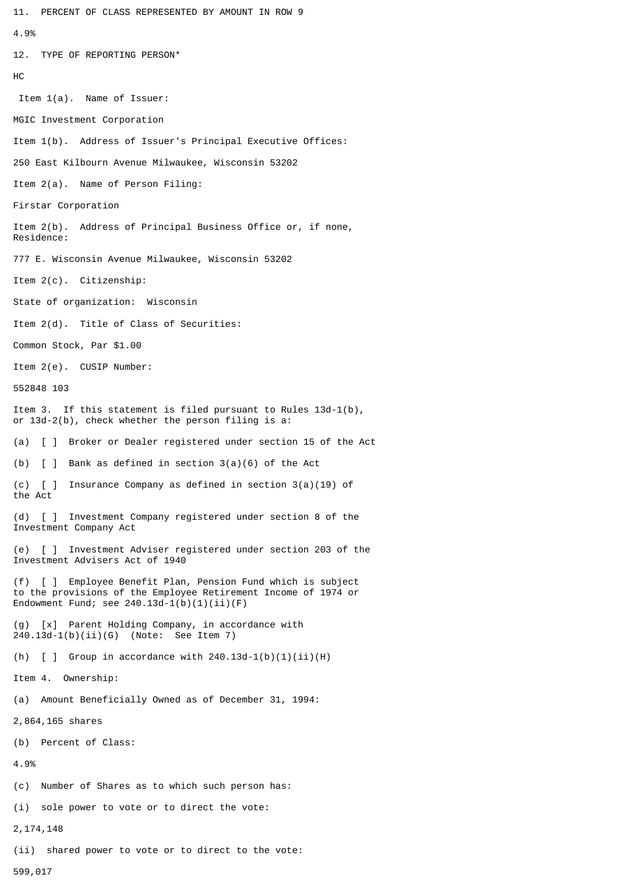11. PERCENT OF CLASS REPRESENTED BY AMOUNT IN ROW 9 4.9% 12. TYPE OF REPORTING PERSON\* HC Item 1(a). Name of Issuer: MGIC Investment Corporation Item 1(b). Address of Issuer's Principal Executive Offices: 250 East Kilbourn Avenue Milwaukee, Wisconsin 53202 Item 2(a). Name of Person Filing: Firstar Corporation Item 2(b). Address of Principal Business Office or, if none, Residence: 777 E. Wisconsin Avenue Milwaukee, Wisconsin 53202 Item 2(c). Citizenship: State of organization: Wisconsin Item 2(d). Title of Class of Securities: Common Stock, Par \$1.00 Item 2(e). CUSIP Number: 552848 103 Item 3. If this statement is filed pursuant to Rules 13d-1(b), or 13d-2(b), check whether the person filing is a: (a) [ ] Broker or Dealer registered under section 15 of the Act (b) [ ] Bank as defined in section 3(a)(6) of the Act (c) [ ] Insurance Company as defined in section 3(a)(19) of the Act (d) [ ] Investment Company registered under section 8 of the Investment Company Act (e) [ ] Investment Adviser registered under section 203 of the Investment Advisers Act of 1940 (f) [ ] Employee Benefit Plan, Pension Fund which is subject to the provisions of the Employee Retirement Income of 1974 or Endowment Fund; see  $240.13d-1(b)(1)(ii)(F)$ (g) [x] Parent Holding Company, in accordance with 240.13d-1(b)(ii)(G) (Note: See Item 7) (h)  $\lceil$   $\rceil$  Group in accordance with 240.13d-1(b)(1)(ii)(H) Item 4. Ownership: (a) Amount Beneficially Owned as of December 31, 1994: 2,864,165 shares (b) Percent of Class: 4.9% (c) Number of Shares as to which such person has: (i) sole power to vote or to direct the vote: 2,174,148 (ii) shared power to vote or to direct to the vote:

599,017